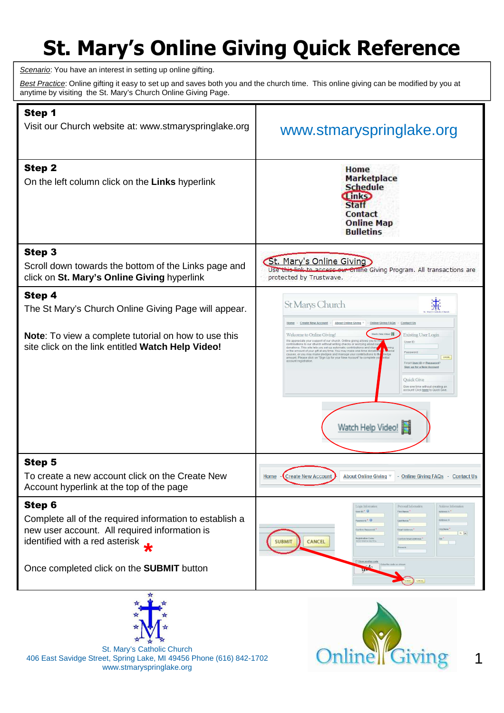## **St. Mary's Online Giving Quick Reference**

Scenario: You have an interest in setting up online gifting.

Best Practice: Online gifting it easy to set up and saves both you and the church time. This online giving can be modified by you at anytime by visiting the St. Mary's Church Online Giving Page.

| Step 1<br>Visit our Church website at: www.stmaryspringlake.org                                                                                                                                          | www.stmaryspringlake.org                                                                                                                                                                                                                                                                                                                                                                                                                                                                                                                                                                                                                                                                                                                                                          |
|----------------------------------------------------------------------------------------------------------------------------------------------------------------------------------------------------------|-----------------------------------------------------------------------------------------------------------------------------------------------------------------------------------------------------------------------------------------------------------------------------------------------------------------------------------------------------------------------------------------------------------------------------------------------------------------------------------------------------------------------------------------------------------------------------------------------------------------------------------------------------------------------------------------------------------------------------------------------------------------------------------|
| <b>Step 2</b><br>On the left column click on the Links hyperlink                                                                                                                                         | Home<br><b>Marketplace</b><br><b>Schedule</b><br><b>Tink</b> <sub>2</sub><br><b>Staff</b><br><b>Contact</b><br><b>Online Map</b><br><b>Bulletins</b>                                                                                                                                                                                                                                                                                                                                                                                                                                                                                                                                                                                                                              |
| Step 3<br>Scroll down towards the bottom of the Links page and<br>click on St. Mary's Online Giving hyperlink                                                                                            | St. Mary's Online Giving<br>Use this link to access our Online Giving Program. All transactions are<br>protected by Trustwave.                                                                                                                                                                                                                                                                                                                                                                                                                                                                                                                                                                                                                                                    |
| Step 4<br>The St Mary's Church Online Giving Page will appear.                                                                                                                                           | 赤<br>St Marys Church<br>Create New Account<br><b>About Online Giving</b><br><b>Online Giving FAQs</b><br>Contact U                                                                                                                                                                                                                                                                                                                                                                                                                                                                                                                                                                                                                                                                |
| Note: To view a complete tutorial on how to use this<br>site click on the link entitled Watch Help Video!                                                                                                | Watch Help Video!<br>Welcome to Online Giving!<br><b>Existing User Login</b><br>We appreciate your support of our church. Online giving allows you<br>User ID:<br>contributions to our church without writing checks or worrying about ca<br>donations. This site lets you set up automatic contributions and chan<br>lecial<br>or the amount of your gift at any time. You may make one-time donat<br>Password<br>causes, or you may make pledges and manage your contributions to th<br>ledge<br>LOGIN<br>amount. Please click on "Sign Up for your New Account" to complete y<br>account registration<br>Forgot User ID or Password'<br>Sign up for a New Account<br>Quick Give<br>Give one time without creating an<br>account! Click here to Quick Give<br>Watch Help Video! |
| <b>Step 5</b><br>To create a new account click on the Create New<br>Account hyperlink at the top of the page                                                                                             | - Create New Account<br><b>About Online Giving</b><br>- Online Giving FAQs - Contact Us<br>Home                                                                                                                                                                                                                                                                                                                                                                                                                                                                                                                                                                                                                                                                                   |
| Step 6<br>Complete all of the required information to establish a<br>new user account. All required information is<br>identified with a red asterisk<br>Once completed click on the <b>SUBMIT</b> button | Logis Information<br>Personal Information<br>Address Information<br>User IO: $^*$ $\bullet$<br>Address t:<br><b>First Name</b><br>Address 3<br>Lest Name<br><b>Email Address</b><br>$AL +$<br>Contirm Email Add<br>Zip:<br><b>CANCEL</b><br>submit<br>Phone #<br>Show another code<br>Enter the code as sh                                                                                                                                                                                                                                                                                                                                                                                                                                                                        |
|                                                                                                                                                                                                          | CANCEL.                                                                                                                                                                                                                                                                                                                                                                                                                                                                                                                                                                                                                                                                                                                                                                           |



St. Mary's Catholic Church 406 East Savidge Street, Spring Lake, MI 49456 Phone (616) 842-1702 www.stmaryspringlake.org



1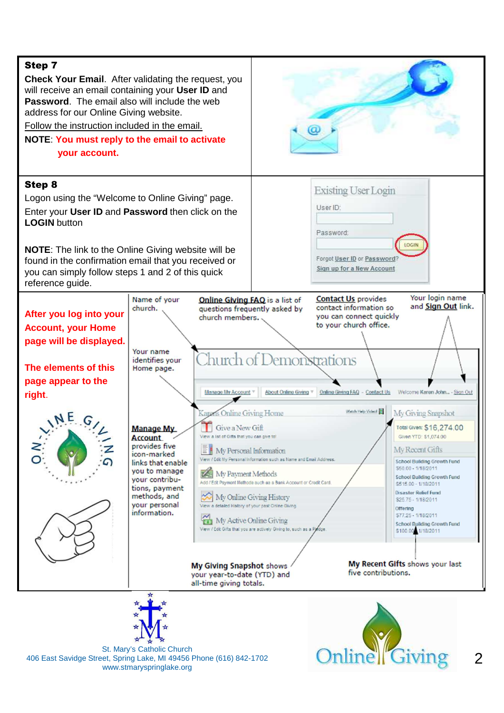



St. Mary's Catholic Church 406 East Savidge Street, Spring Lake, MI 49456 Phone (616) 842-1702 www.stmaryspringlake.org



 $\mathcal{P}$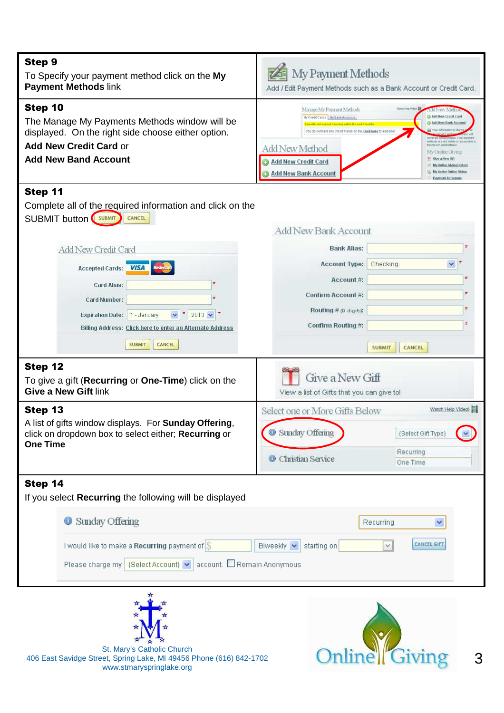| <b>Step 9</b><br>To Specify your payment method click on the My<br><b>Payment Methods link</b>                                                                                                                                                                                                                                                                   | My Payment Methods<br>Add / Edit Payment Methods such as a Bank Account or Credit Card.                                                                                                                                                                                                                                                                                                                                                                                                                   |
|------------------------------------------------------------------------------------------------------------------------------------------------------------------------------------------------------------------------------------------------------------------------------------------------------------------------------------------------------------------|-----------------------------------------------------------------------------------------------------------------------------------------------------------------------------------------------------------------------------------------------------------------------------------------------------------------------------------------------------------------------------------------------------------------------------------------------------------------------------------------------------------|
| Step 10<br>The Manage My Payments Methods window will be<br>displayed. On the right side choose either option.<br><b>Add New Credit Card or</b><br><b>Add New Band Account</b>                                                                                                                                                                                   | Watch Help Video!<br>Manage My Payment Methods<br><b>Add New Metho</b><br>Add New Credit Card<br>My Credit Cards My Bank Accounts<br>Add New Bank Accour<br>You do not have any Credit Cards on file. Click here to add one<br>thods are not visible or accessible to<br>he church administrator<br>Add New Method<br>My Online Giving<br>T Give a New Gift<br><b>Add New Credit Card</b><br>My Online Giving History<br>My Active Online Giving<br><b>Add New Bank Account</b><br><b>Payment Acronym</b> |
| Step 11<br>Complete all of the required information and click on the<br><b>SUBMIT button</b> SUBMIT<br>CANCEL                                                                                                                                                                                                                                                    | <b>Add New Bank Account</b>                                                                                                                                                                                                                                                                                                                                                                                                                                                                               |
| Add New Credit Card<br>Accepted Cards: VISA<br><b>Card Alias:</b><br>Card Number:<br>$\checkmark$<br>$2013 \times$ $^{\star}$<br><b>Expiration Date:</b><br>1 - January<br>Billing Address: Click here to enter an Alternate Address<br><b>SUBMIT</b><br>CANCEL<br>Step 12<br>To give a gift (Recurring or One-Time) click on the<br><b>Give a New Gift link</b> | <b>Bank Alias:</b><br>古<br>$\checkmark$<br><b>Account Type:</b><br>Checking<br>Account #:<br>Confirm Account #:<br>Routing # (9 digits):<br>Confirm Routing #:<br><b>SUBMIT</b><br><b>CANCEL</b><br>Give a New Gift<br>View a list of Gifts that you can give to!                                                                                                                                                                                                                                         |
| Step 13<br>A list of gifts window displays. For Sunday Offering,<br>click on dropdown box to select either; Recurring or<br><b>One Time</b>                                                                                                                                                                                                                      | Watch Help Video!<br>Select one or More Gifts Below<br>Sunday Offering<br>{Select Gift Type}<br>Recurring<br>Christian Service<br>0<br>One Time                                                                                                                                                                                                                                                                                                                                                           |
| Step 14<br>If you select Recurring the following will be displayed                                                                                                                                                                                                                                                                                               |                                                                                                                                                                                                                                                                                                                                                                                                                                                                                                           |
| Sunday Offering<br>I would like to make a Recurring payment of $\$\$<br>Please charge my   {Select Account} v   account. □ Remain Anonymous                                                                                                                                                                                                                      | Recurring<br>×<br><b>CANCEL GIFT</b><br>starting on<br>Biweekly v                                                                                                                                                                                                                                                                                                                                                                                                                                         |